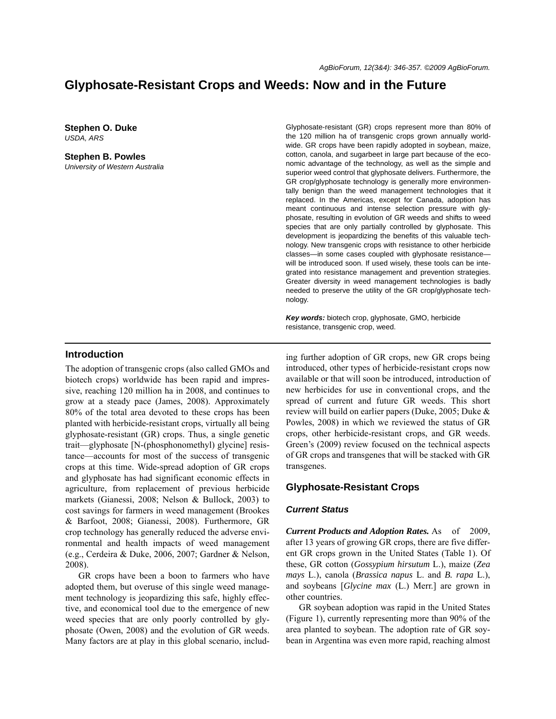# **Glyphosate-Resistant Crops and Weeds: Now and in the Future**

**Stephen O. Duke** *USDA, ARS*

**Stephen B. Powles** *University of Western Australia* Glyphosate-resistant (GR) crops represent more than 80% of the 120 million ha of transgenic crops grown annually worldwide. GR crops have been rapidly adopted in soybean, maize, cotton, canola, and sugarbeet in large part because of the economic advantage of the technology, as well as the simple and superior weed control that glyphosate delivers. Furthermore, the GR crop/glyphosate technology is generally more environmentally benign than the weed management technologies that it replaced. In the Americas, except for Canada, adoption has meant continuous and intense selection pressure with glyphosate, resulting in evolution of GR weeds and shifts to weed species that are only partially controlled by glyphosate. This development is jeopardizing the benefits of this valuable technology. New transgenic crops with resistance to other herbicide classes—in some cases coupled with glyphosate resistance will be introduced soon. If used wisely, these tools can be integrated into resistance management and prevention strategies. Greater diversity in weed management technologies is badly needed to preserve the utility of the GR crop/glyphosate technology.

*Key words:* biotech crop, glyphosate, GMO, herbicide resistance, transgenic crop, weed.

#### **Introduction**

The adoption of transgenic crops (also called GMOs and biotech crops) worldwide has been rapid and impressive, reaching 120 million ha in 2008, and continues to grow at a steady pace (James, 2008). Approximately 80% of the total area devoted to these crops has been planted with herbicide-resistant crops, virtually all being glyphosate-resistant (GR) crops. Thus, a single genetic trait—glyphosate [N-(phosphonomethyl) glycine] resistance—accounts for most of the success of transgenic crops at this time. Wide-spread adoption of GR crops and glyphosate has had significant economic effects in agriculture, from replacement of previous herbicide markets (Gianessi, 2008; Nelson & Bullock, 2003) to cost savings for farmers in weed management (Brookes & Barfoot, 2008; Gianessi, 2008). Furthermore, GR crop technology has generally reduced the adverse environmental and health impacts of weed management (e.g., Cerdeira & Duke, 2006, 2007; Gardner & Nelson, 2008).

GR crops have been a boon to farmers who have adopted them, but overuse of this single weed management technology is jeopardizing this safe, highly effective, and economical tool due to the emergence of new weed species that are only poorly controlled by glyphosate (Owen, 2008) and the evolution of GR weeds. Many factors are at play in this global scenario, including further adoption of GR crops, new GR crops being introduced, other types of herbicide-resistant crops now available or that will soon be introduced, introduction of new herbicides for use in conventional crops, and the spread of current and future GR weeds. This short review will build on earlier papers (Duke, 2005; Duke & Powles, 2008) in which we reviewed the status of GR crops, other herbicide-resistant crops, and GR weeds. Green's (2009) review focused on the technical aspects of GR crops and transgenes that will be stacked with GR transgenes.

## **Glyphosate-Resistant Crops**

#### *Current Status*

*Current Products and Adoption Rates.* As of 2009, after 13 years of growing GR crops, there are five different GR crops grown in the United States (Table 1). Of these, GR cotton (*Gossypium hirsutum* L.), maize (*Zea mays* L.), canola (*Brassica napus* L. and *B. rapa* L.), and soybeans [*Glycine max* (L.) Merr.] are grown in other countries.

GR soybean adoption was rapid in the United States (Figure 1), currently representing more than 90% of the area planted to soybean. The adoption rate of GR soybean in Argentina was even more rapid, reaching almost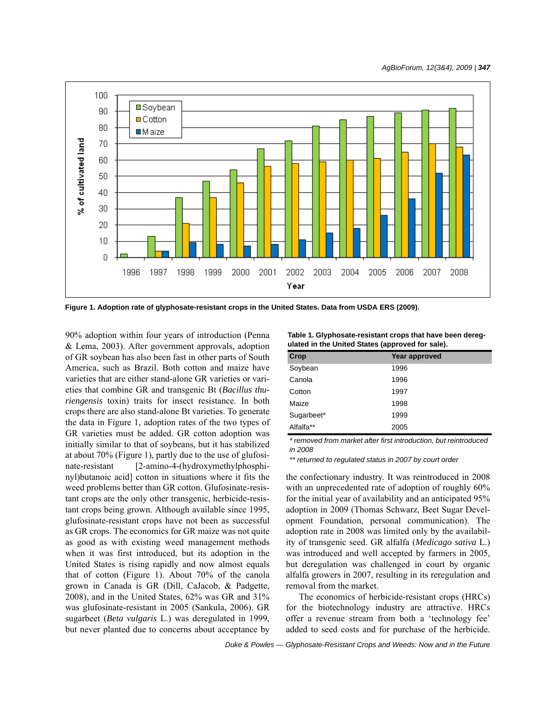

**Figure 1. Adoption rate of glyphosate-resistant crops in the United States. Data from USDA ERS (2009).**

90% adoption within four years of introduction (Penna & Lema, 2003). After government approvals, adoption of GR soybean has also been fast in other parts of South America, such as Brazil. Both cotton and maize have varieties that are either stand-alone GR varieties or varieties that combine GR and transgenic Bt (*Bacillus thuriengensis* toxin) traits for insect resistance. In both crops there are also stand-alone Bt varieties. To generate the data in Figure 1, adoption rates of the two types of GR varieties must be added. GR cotton adoption was initially similar to that of soybeans, but it has stabilized at about 70% (Figure 1), partly due to the use of glufosinate-resistant [2-amino-4-(hydroxymethylphosphinyl)butanoic acid] cotton in situations where it fits the weed problems better than GR cotton. Glufosinate-resistant crops are the only other transgenic, herbicide-resistant crops being grown. Although available since 1995, glufosinate-resistant crops have not been as successful as GR crops. The economics for GR maize was not quite as good as with existing weed management methods when it was first introduced, but its adoption in the United States is rising rapidly and now almost equals that of cotton (Figure 1). About 70% of the canola grown in Canada is GR (Dill, CaJacob, & Padgette, 2008), and in the United States, 62% was GR and 31% was glufosinate-resistant in 2005 (Sankula, 2006). GR sugarbeet (*Beta vulgaris* L.) was deregulated in 1999, but never planted due to concerns about acceptance by

**Table 1. Glyphosate-resistant crops that have been deregulated in the United States (approved for sale).**

| Crop       | Year approved |  |
|------------|---------------|--|
| Soybean    | 1996          |  |
| Canola     | 1996          |  |
| Cotton     | 1997          |  |
| Maize      | 1998          |  |
| Sugarbeet* | 1999          |  |
| Alfalfa**  | 2005          |  |

*\* removed from market after first introduction, but reintroduced in 2008*

*\*\* returned to regulated status in 2007 by court order*

the confectionary industry. It was reintroduced in 2008 with an unprecedented rate of adoption of roughly 60% for the initial year of availability and an anticipated 95% adoption in 2009 (Thomas Schwarz, Beet Sugar Development Foundation, personal communication). The adoption rate in 2008 was limited only by the availability of transgenic seed. GR alfalfa (*Medicago sativa* L.) was introduced and well accepted by farmers in 2005, but deregulation was challenged in court by organic alfalfa growers in 2007, resulting in its reregulation and removal from the market.

The economics of herbicide-resistant crops (HRCs) for the biotechnology industry are attractive. HRCs offer a revenue stream from both a 'technology fee' added to seed costs and for purchase of the herbicide.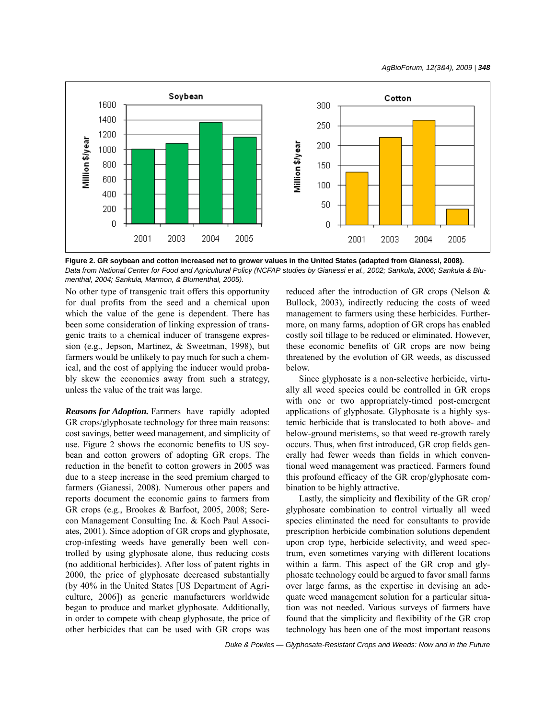

**Figure 2. GR soybean and cotton increased net to grower values in the United States (adapted from Gianessi, 2008).**  *Data from National Center for Food and Agricultural Policy (NCFAP studies by Gianessi et al., 2002; Sankula, 2006; Sankula & Blumenthal, 2004; Sankula, Marmon, & Blumenthal, 2005).*

No other type of transgenic trait offers this opportunity for dual profits from the seed and a chemical upon which the value of the gene is dependent. There has been some consideration of linking expression of transgenic traits to a chemical inducer of transgene expression (e.g., Jepson, Martinez, & Sweetman, 1998), but farmers would be unlikely to pay much for such a chemical, and the cost of applying the inducer would probably skew the economics away from such a strategy, unless the value of the trait was large.

*Reasons for Adoption.* Farmers have rapidly adopted GR crops/glyphosate technology for three main reasons: cost savings, better weed management, and simplicity of use. Figure 2 shows the economic benefits to US soybean and cotton growers of adopting GR crops. The reduction in the benefit to cotton growers in 2005 was due to a steep increase in the seed premium charged to farmers (Gianessi, 2008). Numerous other papers and reports document the economic gains to farmers from GR crops (e.g., Brookes & Barfoot, 2005, 2008; Serecon Management Consulting Inc. & Koch Paul Associates, 2001). Since adoption of GR crops and glyphosate, crop-infesting weeds have generally been well controlled by using glyphosate alone, thus reducing costs (no additional herbicides). After loss of patent rights in 2000, the price of glyphosate decreased substantially (by 40% in the United States [US Department of Agriculture, 2006]) as generic manufacturers worldwide began to produce and market glyphosate. Additionally, in order to compete with cheap glyphosate, the price of other herbicides that can be used with GR crops was

reduced after the introduction of GR crops (Nelson & Bullock, 2003), indirectly reducing the costs of weed management to farmers using these herbicides. Furthermore, on many farms, adoption of GR crops has enabled costly soil tillage to be reduced or eliminated. However, these economic benefits of GR crops are now being threatened by the evolution of GR weeds, as discussed below.

Since glyphosate is a non-selective herbicide, virtually all weed species could be controlled in GR crops with one or two appropriately-timed post-emergent applications of glyphosate. Glyphosate is a highly systemic herbicide that is translocated to both above- and below-ground meristems, so that weed re-growth rarely occurs. Thus, when first introduced, GR crop fields generally had fewer weeds than fields in which conventional weed management was practiced. Farmers found this profound efficacy of the GR crop/glyphosate combination to be highly attractive.

Lastly, the simplicity and flexibility of the GR crop/ glyphosate combination to control virtually all weed species eliminated the need for consultants to provide prescription herbicide combination solutions dependent upon crop type, herbicide selectivity, and weed spectrum, even sometimes varying with different locations within a farm. This aspect of the GR crop and glyphosate technology could be argued to favor small farms over large farms, as the expertise in devising an adequate weed management solution for a particular situation was not needed. Various surveys of farmers have found that the simplicity and flexibility of the GR crop technology has been one of the most important reasons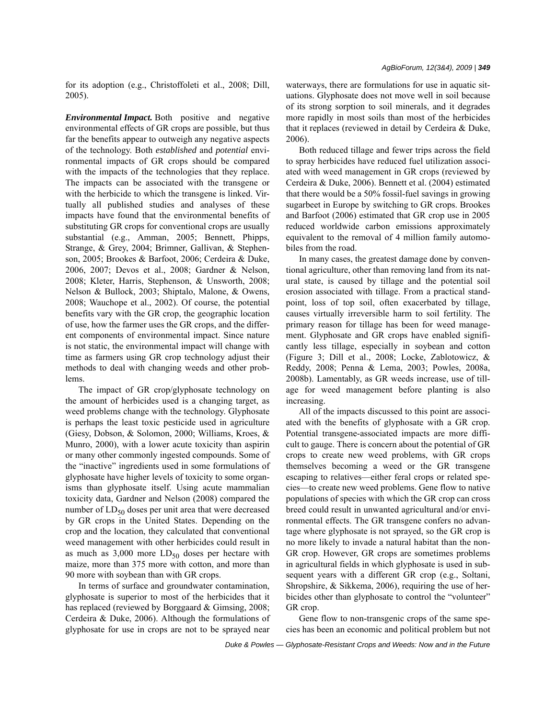for its adoption (e.g., Christoffoleti et al., 2008; Dill, 2005).

*Environmental Impact.* Both positive and negative environmental effects of GR crops are possible, but thus far the benefits appear to outweigh any negative aspects of the technology. Both *established* and *potential* environmental impacts of GR crops should be compared with the impacts of the technologies that they replace. The impacts can be associated with the transgene or with the herbicide to which the transgene is linked. Virtually all published studies and analyses of these impacts have found that the environmental benefits of substituting GR crops for conventional crops are usually substantial (e.g., Amman, 2005; Bennett, Phipps, Strange, & Grey, 2004; Brimner, Gallivan, & Stephenson, 2005; Brookes & Barfoot, 2006; Cerdeira & Duke, 2006, 2007; Devos et al., 2008; Gardner & Nelson, 2008; Kleter, Harris, Stephenson, & Unsworth, 2008; Nelson & Bullock, 2003; Shiptalo, Malone, & Owens, 2008; Wauchope et al., 2002). Of course, the potential benefits vary with the GR crop, the geographic location of use, how the farmer uses the GR crops, and the different components of environmental impact. Since nature is not static, the environmental impact will change with time as farmers using GR crop technology adjust their methods to deal with changing weeds and other problems.

The impact of GR crop/glyphosate technology on the amount of herbicides used is a changing target, as weed problems change with the technology. Glyphosate is perhaps the least toxic pesticide used in agriculture (Giesy, Dobson, & Solomon, 2000; Williams, Kroes, & Munro, 2000), with a lower acute toxicity than aspirin or many other commonly ingested compounds. Some of the "inactive" ingredients used in some formulations of glyphosate have higher levels of toxicity to some organisms than glyphosate itself. Using acute mammalian toxicity data, Gardner and Nelson (2008) compared the number of  $LD_{50}$  doses per unit area that were decreased by GR crops in the United States. Depending on the crop and the location, they calculated that conventional weed management with other herbicides could result in as much as  $3,000$  more  $LD_{50}$  doses per hectare with maize, more than 375 more with cotton, and more than 90 more with soybean than with GR crops.

In terms of surface and groundwater contamination, glyphosate is superior to most of the herbicides that it has replaced (reviewed by Borggaard & Gimsing, 2008; Cerdeira & Duke, 2006). Although the formulations of glyphosate for use in crops are not to be sprayed near waterways, there are formulations for use in aquatic situations. Glyphosate does not move well in soil because of its strong sorption to soil minerals, and it degrades more rapidly in most soils than most of the herbicides that it replaces (reviewed in detail by Cerdeira & Duke, 2006).

Both reduced tillage and fewer trips across the field to spray herbicides have reduced fuel utilization associated with weed management in GR crops (reviewed by Cerdeira & Duke, 2006). Bennett et al. (2004) estimated that there would be a 50% fossil-fuel savings in growing sugarbeet in Europe by switching to GR crops. Brookes and Barfoot (2006) estimated that GR crop use in 2005 reduced worldwide carbon emissions approximately equivalent to the removal of 4 million family automobiles from the road.

In many cases, the greatest damage done by conventional agriculture, other than removing land from its natural state, is caused by tillage and the potential soil erosion associated with tillage. From a practical standpoint, loss of top soil, often exacerbated by tillage, causes virtually irreversible harm to soil fertility. The primary reason for tillage has been for weed management. Glyphosate and GR crops have enabled significantly less tillage, especially in soybean and cotton (Figure 3; Dill et al., 2008; Locke, Zablotowicz, & Reddy, 2008; Penna & Lema, 2003; Powles, 2008a, 2008b). Lamentably, as GR weeds increase, use of tillage for weed management before planting is also increasing.

All of the impacts discussed to this point are associated with the benefits of glyphosate with a GR crop. Potential transgene-associated impacts are more difficult to gauge. There is concern about the potential of GR crops to create new weed problems, with GR crops themselves becoming a weed or the GR transgene escaping to relatives—either feral crops or related species—to create new weed problems. Gene flow to native populations of species with which the GR crop can cross breed could result in unwanted agricultural and/or environmental effects. The GR transgene confers no advantage where glyphosate is not sprayed, so the GR crop is no more likely to invade a natural habitat than the non-GR crop. However, GR crops are sometimes problems in agricultural fields in which glyphosate is used in subsequent years with a different GR crop (e.g., Soltani, Shropshire, & Sikkema, 2006), requiring the use of herbicides other than glyphosate to control the "volunteer" GR crop.

Gene flow to non-transgenic crops of the same species has been an economic and political problem but not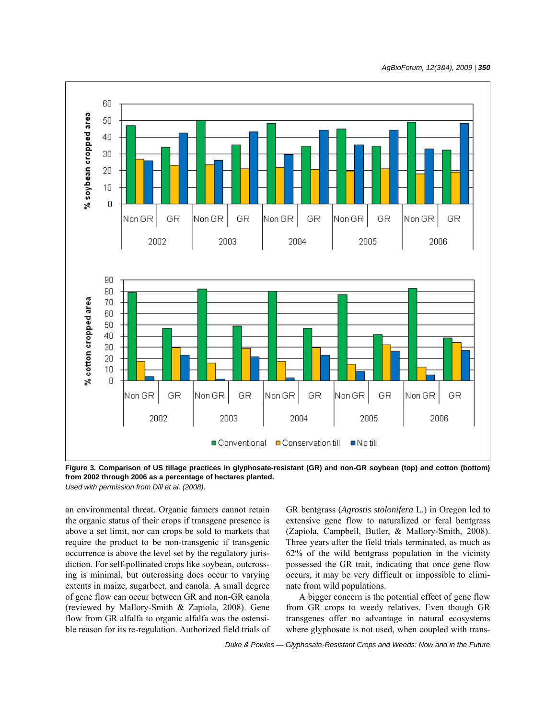*AgBioForum, 12(3&4), 2009 | 350*



**Figure 3. Comparison of US tillage practices in glyphosate-resistant (GR) and non-GR soybean (top) and cotton (bottom) from 2002 through 2006 as a percentage of hectares planted.**  *Used with permission from Dill et al. (2008).*

an environmental threat. Organic farmers cannot retain the organic status of their crops if transgene presence is above a set limit, nor can crops be sold to markets that require the product to be non-transgenic if transgenic occurrence is above the level set by the regulatory jurisdiction. For self-pollinated crops like soybean, outcrossing is minimal, but outcrossing does occur to varying extents in maize, sugarbeet, and canola. A small degree of gene flow can occur between GR and non-GR canola (reviewed by Mallory-Smith & Zapiola, 2008). Gene flow from GR alfalfa to organic alfalfa was the ostensible reason for its re-regulation. Authorized field trials of GR bentgrass (*Agrostis stolonifera* L.) in Oregon led to extensive gene flow to naturalized or feral bentgrass (Zapiola, Campbell, Butler, & Mallory-Smith, 2008). Three years after the field trials terminated, as much as 62% of the wild bentgrass population in the vicinity possessed the GR trait, indicating that once gene flow occurs, it may be very difficult or impossible to eliminate from wild populations.

A bigger concern is the potential effect of gene flow from GR crops to weedy relatives. Even though GR transgenes offer no advantage in natural ecosystems where glyphosate is not used, when coupled with trans-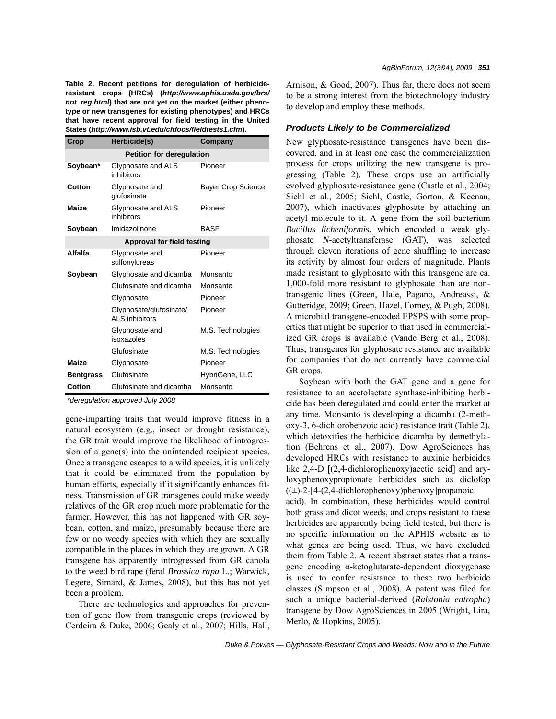**Table 2. Recent petitions for deregulation of herbicideresistant crops (HRCs) (***http://www.aphis.usda.gov/brs/ not\_reg.html***) that are not yet on the market (either phenotype or new transgenes for existing phenotypes) and HRCs that have recent approval for field testing in the United States (***http://www.isb.vt.edu/cfdocs/fieldtests1.cfm***).**

| Crop                              | Herbicide(s)                               | Company                   |
|-----------------------------------|--------------------------------------------|---------------------------|
|                                   | <b>Petition for deregulation</b>           |                           |
| Soybean*                          | Glyphosate and ALS<br>inhibitors           | Pioneer                   |
| Cotton                            | Glyphosate and<br>glufosinate              | <b>Bayer Crop Science</b> |
| Maize                             | Glyphosate and ALS<br>inhibitors           | Pioneer                   |
| Soybean                           | Imidazolinone                              | <b>BASF</b>               |
| <b>Approval for field testing</b> |                                            |                           |
| Alfalfa                           | Glyphosate and<br>sulfonylureas            | Pioneer                   |
| Soybean                           | Glyphosate and dicamba                     | Monsanto                  |
|                                   | Glufosinate and dicamba                    | Monsanto                  |
|                                   | Glyphosate                                 | Pioneer                   |
|                                   | Glyphosate/glufosinate/<br>AI S inhibitors | Pioneer                   |
|                                   | Glyphosate and<br>isoxazoles               | M.S. Technologies         |
|                                   | Glufosinate                                | M.S. Technologies         |
| Maize                             | Glyphosate                                 | Pioneer                   |
| <b>Bentgrass</b>                  | Glufosinate                                | HybriGene, LLC            |
| Cotton                            | Glufosinate and dicamba                    | Monsanto                  |

*\*deregulation approved July 2008*

gene-imparting traits that would improve fitness in a natural ecosystem (e.g., insect or drought resistance), the GR trait would improve the likelihood of introgression of a gene(s) into the unintended recipient species. Once a transgene escapes to a wild species, it is unlikely that it could be eliminated from the population by human efforts, especially if it significantly enhances fitness. Transmission of GR transgenes could make weedy relatives of the GR crop much more problematic for the farmer. However, this has not happened with GR soybean, cotton, and maize, presumably because there are few or no weedy species with which they are sexually compatible in the places in which they are grown. A GR transgene has apparently introgressed from GR canola to the weed bird rape (feral *Brassica rapa* L.; Warwick, Legere, Simard, & James, 2008), but this has not yet been a problem.

There are technologies and approaches for prevention of gene flow from transgenic crops (reviewed by Cerdeira & Duke, 2006; Gealy et al., 2007; Hills, Hall, Arnison, & Good, 2007). Thus far, there does not seem to be a strong interest from the biotechnology industry to develop and employ these methods.

#### *Products Likely to be Commercialized*

New glyphosate-resistance transgenes have been discovered, and in at least one case the commercialization process for crops utilizing the new transgene is progressing (Table 2). These crops use an artificially evolved glyphosate-resistance gene (Castle et al., 2004; Siehl et al., 2005; Siehl, Castle, Gorton, & Keenan, 2007), which inactivates glyphosate by attaching an acetyl molecule to it. A gene from the soil bacterium *Bacillus licheniformis*, which encoded a weak glyphosate *N*-acetyltransferase (GAT), was selected through eleven iterations of gene shuffling to increase its activity by almost four orders of magnitude. Plants made resistant to glyphosate with this transgene are ca. 1,000-fold more resistant to glyphosate than are nontransgenic lines (Green, Hale, Pagano, Andreassi, & Gutteridge, 2009; Green, Hazel, Forney, & Pugh, 2008). A microbial transgene-encoded EPSPS with some properties that might be superior to that used in commercialized GR crops is available (Vande Berg et al., 2008). Thus, transgenes for glyphosate resistance are available for companies that do not currently have commercial GR crops.

Soybean with both the GAT gene and a gene for resistance to an acetolactate synthase-inhibiting herbicide has been deregulated and could enter the market at any time. Monsanto is developing a dicamba (2-methoxy-3, 6-dichlorobenzoic acid) resistance trait (Table 2), which detoxifies the herbicide dicamba by demethylation (Behrens et al., 2007). Dow AgroSciences has developed HRCs with resistance to auxinic herbicides like 2,4-D  $[(2,4-{\rm dichlorophenoxy})\text{acetic acid}]$  and aryloxyphenoxypropionate herbicides such as diclofop  $((\pm)$ -2-[4-(2,4-dichlorophenoxy)phenoxy]propanoic

acid). In combination, these herbicides would control both grass and dicot weeds, and crops resistant to these herbicides are apparently being field tested, but there is no specific information on the APHIS website as to what genes are being used. Thus, we have excluded them from Table 2. A recent abstract states that a transgene encoding α-ketoglutarate-dependent dioxygenase is used to confer resistance to these two herbicide classes (Simpson et al., 2008). A patent was filed for such a unique bacterial-derived (*Ralstonia eutropha*) transgene by Dow AgroSciences in 2005 (Wright, Lira, Merlo, & Hopkins, 2005).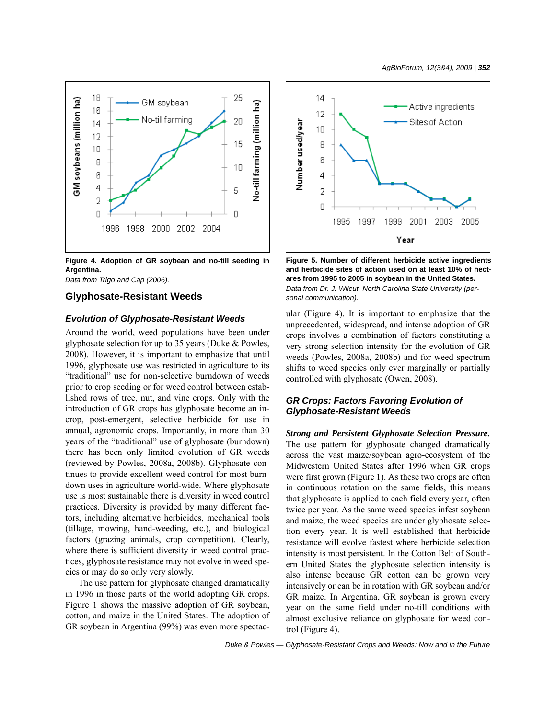

**Figure 4. Adoption of GR soybean and no-till seeding in Argentina.** 

*Data from Trigo and Cap (2006).*

#### **Glyphosate-Resistant Weeds**

#### *Evolution of Glyphosate-Resistant Weeds*

Around the world, weed populations have been under glyphosate selection for up to 35 years (Duke & Powles, 2008). However, it is important to emphasize that until 1996, glyphosate use was restricted in agriculture to its "traditional" use for non-selective burndown of weeds prior to crop seeding or for weed control between established rows of tree, nut, and vine crops. Only with the introduction of GR crops has glyphosate become an incrop, post-emergent, selective herbicide for use in annual, agronomic crops. Importantly, in more than 30 years of the "traditional" use of glyphosate (burndown) there has been only limited evolution of GR weeds (reviewed by Powles, 2008a, 2008b). Glyphosate continues to provide excellent weed control for most burndown uses in agriculture world-wide. Where glyphosate use is most sustainable there is diversity in weed control practices. Diversity is provided by many different factors, including alternative herbicides, mechanical tools (tillage, mowing, hand-weeding, etc.), and biological factors (grazing animals, crop competition). Clearly, where there is sufficient diversity in weed control practices, glyphosate resistance may not evolve in weed species or may do so only very slowly.

The use pattern for glyphosate changed dramatically in 1996 in those parts of the world adopting GR crops. Figure 1 shows the massive adoption of GR soybean, cotton, and maize in the United States. The adoption of GR soybean in Argentina (99%) was even more spectac-



**Figure 5. Number of different herbicide active ingredients and herbicide sites of action used on at least 10% of hectares from 1995 to 2005 in soybean in the United States.**  *Data from Dr. J. Wilcut, North Carolina State University (personal communication).*

ular (Figure 4). It is important to emphasize that the unprecedented, widespread, and intense adoption of GR crops involves a combination of factors constituting a very strong selection intensity for the evolution of GR weeds (Powles, 2008a, 2008b) and for weed spectrum shifts to weed species only ever marginally or partially controlled with glyphosate (Owen, 2008).

### *GR Crops: Factors Favoring Evolution of Glyphosate-Resistant Weeds*

*Strong and Persistent Glyphosate Selection Pressure.* The use pattern for glyphosate changed dramatically across the vast maize/soybean agro-ecosystem of the Midwestern United States after 1996 when GR crops were first grown (Figure 1). As these two crops are often in continuous rotation on the same fields, this means that glyphosate is applied to each field every year, often twice per year. As the same weed species infest soybean and maize, the weed species are under glyphosate selection every year. It is well established that herbicide resistance will evolve fastest where herbicide selection intensity is most persistent. In the Cotton Belt of Southern United States the glyphosate selection intensity is also intense because GR cotton can be grown very intensively or can be in rotation with GR soybean and/or GR maize. In Argentina, GR soybean is grown every year on the same field under no-till conditions with almost exclusive reliance on glyphosate for weed control (Figure 4).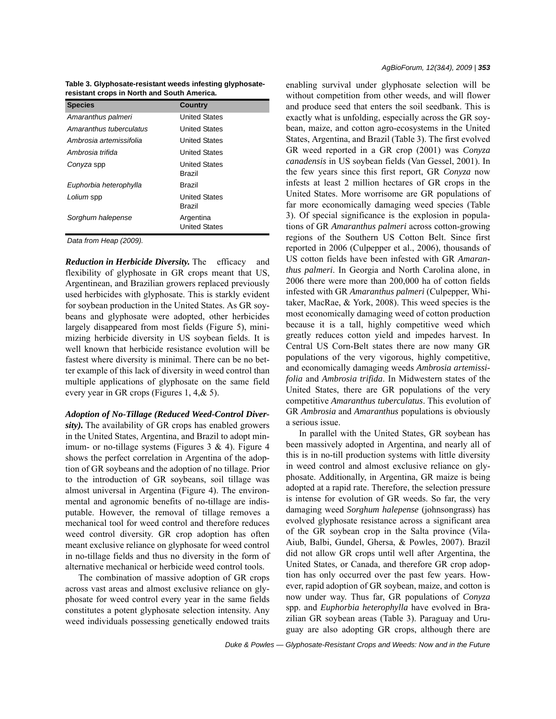**Table 3. Glyphosate-resistant weeds infesting glyphosateresistant crops in North and South America.**

| <b>Species</b>          | <b>Country</b>                    |
|-------------------------|-----------------------------------|
| Amaranthus palmeri      | <b>United States</b>              |
| Amaranthus tuberculatus | <b>United States</b>              |
| Ambrosia artemissifolia | <b>United States</b>              |
| Ambrosia trifida        | <b>United States</b>              |
| Conyza spp              | <b>United States</b><br>Brazil    |
| Euphorbia heterophylla  | Brazil                            |
| Lolium spp              | <b>United States</b><br>Brazil    |
| Sorghum halepense       | Argentina<br><b>United States</b> |

*Data from Heap (2009).*

*Reduction in Herbicide Diversity.* The efficacy and flexibility of glyphosate in GR crops meant that US, Argentinean, and Brazilian growers replaced previously used herbicides with glyphosate. This is starkly evident for soybean production in the United States. As GR soybeans and glyphosate were adopted, other herbicides largely disappeared from most fields (Figure 5), minimizing herbicide diversity in US soybean fields. It is well known that herbicide resistance evolution will be fastest where diversity is minimal. There can be no better example of this lack of diversity in weed control than multiple applications of glyphosate on the same field every year in GR crops (Figures 1, 4,& 5).

*Adoption of No-Tillage (Reduced Weed-Control Diver-*

*sity).* The availability of GR crops has enabled growers in the United States, Argentina, and Brazil to adopt minimum- or no-tillage systems (Figures  $3 \& 4$ ). Figure  $4$ shows the perfect correlation in Argentina of the adoption of GR soybeans and the adoption of no tillage. Prior to the introduction of GR soybeans, soil tillage was almost universal in Argentina (Figure 4). The environmental and agronomic benefits of no-tillage are indisputable. However, the removal of tillage removes a mechanical tool for weed control and therefore reduces weed control diversity. GR crop adoption has often meant exclusive reliance on glyphosate for weed control in no-tillage fields and thus no diversity in the form of alternative mechanical or herbicide weed control tools.

The combination of massive adoption of GR crops across vast areas and almost exclusive reliance on glyphosate for weed control every year in the same fields constitutes a potent glyphosate selection intensity. Any weed individuals possessing genetically endowed traits enabling survival under glyphosate selection will be without competition from other weeds, and will flower and produce seed that enters the soil seedbank. This is exactly what is unfolding, especially across the GR soybean, maize, and cotton agro-ecosystems in the United States, Argentina, and Brazil (Table 3). The first evolved GR weed reported in a GR crop (2001) was *Conyza canadensis* in US soybean fields (Van Gessel, 2001). In the few years since this first report, GR *Conyza* now infests at least 2 million hectares of GR crops in the United States. More worrisome are GR populations of far more economically damaging weed species (Table 3). Of special significance is the explosion in populations of GR *Amaranthus palmeri* across cotton-growing regions of the Southern US Cotton Belt. Since first reported in 2006 (Culpepper et al., 2006), thousands of US cotton fields have been infested with GR *Amaranthus palmeri*. In Georgia and North Carolina alone, in 2006 there were more than 200,000 ha of cotton fields infested with GR *Amaranthus palmeri* (Culpepper, Whitaker, MacRae, & York, 2008). This weed species is the most economically damaging weed of cotton production because it is a tall, highly competitive weed which greatly reduces cotton yield and impedes harvest. In Central US Corn-Belt states there are now many GR populations of the very vigorous, highly competitive, and economically damaging weeds *Ambrosia artemissifolia* and *Ambrosia trifida*. In Midwestern states of the United States, there are GR populations of the very competitive *Amaranthus tuberculatus*. This evolution of GR *Ambrosia* and *Amaranthus* populations is obviously a serious issue.

In parallel with the United States, GR soybean has been massively adopted in Argentina, and nearly all of this is in no-till production systems with little diversity in weed control and almost exclusive reliance on glyphosate. Additionally, in Argentina, GR maize is being adopted at a rapid rate. Therefore, the selection pressure is intense for evolution of GR weeds. So far, the very damaging weed *Sorghum halepense* (johnsongrass) has evolved glyphosate resistance across a significant area of the GR soybean crop in the Salta province (Vila-Aiub, Balbi, Gundel, Ghersa, & Powles, 2007). Brazil did not allow GR crops until well after Argentina, the United States, or Canada, and therefore GR crop adoption has only occurred over the past few years. However, rapid adoption of GR soybean, maize, and cotton is now under way. Thus far, GR populations of *Conyza* spp. and *Euphorbia heterophylla* have evolved in Brazilian GR soybean areas (Table 3). Paraguay and Uruguay are also adopting GR crops, although there are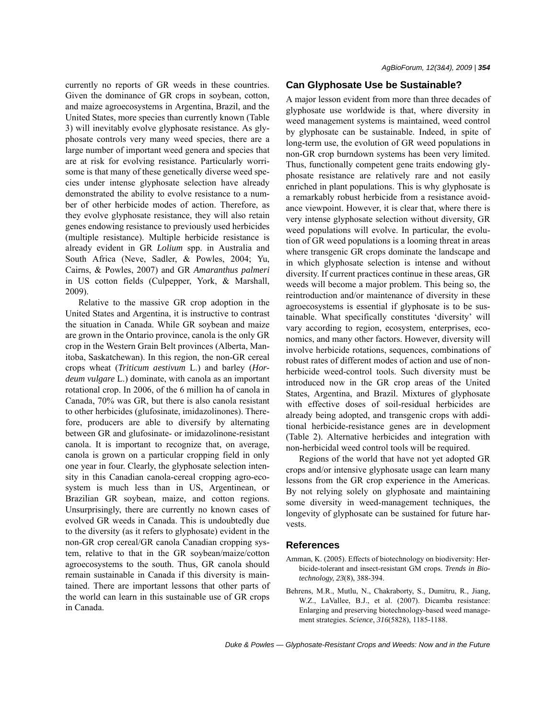currently no reports of GR weeds in these countries. Given the dominance of GR crops in soybean, cotton, and maize agroecosystems in Argentina, Brazil, and the United States, more species than currently known (Table 3) will inevitably evolve glyphosate resistance. As glyphosate controls very many weed species, there are a large number of important weed genera and species that are at risk for evolving resistance. Particularly worrisome is that many of these genetically diverse weed species under intense glyphosate selection have already demonstrated the ability to evolve resistance to a number of other herbicide modes of action. Therefore, as they evolve glyphosate resistance, they will also retain genes endowing resistance to previously used herbicides (multiple resistance). Multiple herbicide resistance is already evident in GR *Lolium* spp. in Australia and South Africa (Neve, Sadler, & Powles, 2004; Yu, Cairns, & Powles, 2007) and GR *Amaranthus palmeri* in US cotton fields (Culpepper, York, & Marshall, 2009).

Relative to the massive GR crop adoption in the United States and Argentina, it is instructive to contrast the situation in Canada. While GR soybean and maize are grown in the Ontario province, canola is the only GR crop in the Western Grain Belt provinces (Alberta, Manitoba, Saskatchewan). In this region, the non-GR cereal crops wheat (*Triticum aestivum* L.) and barley (*Hordeum vulgare* L.) dominate, with canola as an important rotational crop. In 2006, of the 6 million ha of canola in Canada, 70% was GR, but there is also canola resistant to other herbicides (glufosinate, imidazolinones). Therefore, producers are able to diversify by alternating between GR and glufosinate- or imidazolinone-resistant canola. It is important to recognize that, on average, canola is grown on a particular cropping field in only one year in four. Clearly, the glyphosate selection intensity in this Canadian canola-cereal cropping agro-ecosystem is much less than in US, Argentinean, or Brazilian GR soybean, maize, and cotton regions. Unsurprisingly, there are currently no known cases of evolved GR weeds in Canada. This is undoubtedly due to the diversity (as it refers to glyphosate) evident in the non-GR crop cereal/GR canola Canadian cropping system, relative to that in the GR soybean/maize/cotton agroecosystems to the south. Thus, GR canola should remain sustainable in Canada if this diversity is maintained. There are important lessons that other parts of the world can learn in this sustainable use of GR crops in Canada.

#### **Can Glyphosate Use be Sustainable?**

A major lesson evident from more than three decades of glyphosate use worldwide is that, where diversity in weed management systems is maintained, weed control by glyphosate can be sustainable. Indeed, in spite of long-term use, the evolution of GR weed populations in non-GR crop burndown systems has been very limited. Thus, functionally competent gene traits endowing glyphosate resistance are relatively rare and not easily enriched in plant populations. This is why glyphosate is a remarkably robust herbicide from a resistance avoidance viewpoint. However, it is clear that, where there is very intense glyphosate selection without diversity, GR weed populations will evolve. In particular, the evolution of GR weed populations is a looming threat in areas where transgenic GR crops dominate the landscape and in which glyphosate selection is intense and without diversity. If current practices continue in these areas, GR weeds will become a major problem. This being so, the reintroduction and/or maintenance of diversity in these agroecosystems is essential if glyphosate is to be sustainable. What specifically constitutes 'diversity' will vary according to region, ecosystem, enterprises, economics, and many other factors. However, diversity will involve herbicide rotations, sequences, combinations of robust rates of different modes of action and use of nonherbicide weed-control tools. Such diversity must be introduced now in the GR crop areas of the United States, Argentina, and Brazil. Mixtures of glyphosate with effective doses of soil-residual herbicides are already being adopted, and transgenic crops with additional herbicide-resistance genes are in development (Table 2). Alternative herbicides and integration with non-herbicidal weed control tools will be required.

Regions of the world that have not yet adopted GR crops and/or intensive glyphosate usage can learn many lessons from the GR crop experience in the Americas. By not relying solely on glyphosate and maintaining some diversity in weed-management techniques, the longevity of glyphosate can be sustained for future harvests.

#### **References**

- Amman, K. (2005). Effects of biotechnology on biodiversity: Herbicide-tolerant and insect-resistant GM crops. *Trends in Biotechnology*, *23*(8), 388-394.
- Behrens, M.R., Mutlu, N., Chakraborty, S., Dumitru, R., Jiang, W.Z., LaVallee, B.J., et al. (2007). Dicamba resistance: Enlarging and preserving biotechnology-based weed management strategies. *Science*, *316*(5828), 1185-1188.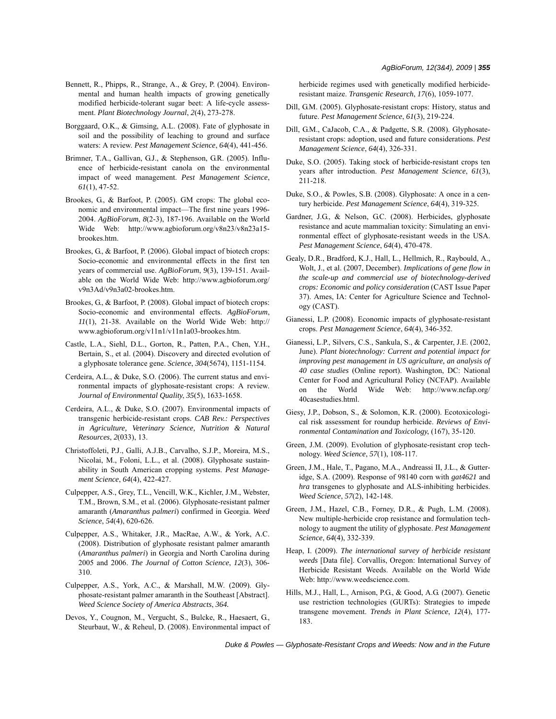- Bennett, R., Phipps, R., Strange, A., & Grey, P. (2004). Environmental and human health impacts of growing genetically modified herbicide-tolerant sugar beet: A life-cycle assessment. *Plant Biotechnology Journal*, *2*(4), 273-278.
- Borggaard, O.K., & Gimsing, A.L. (2008). Fate of glyphosate in soil and the possibility of leaching to ground and surface waters: A review. *Pest Management Science*, *64*(4), 441-456.
- Brimner, T.A., Gallivan, G.J., & Stephenson, G.R. (2005). Influence of herbicide-resistant canola on the environmental impact of weed management. *Pest Management Science*, *61*(1), 47-52.
- Brookes, G., & Barfoot, P. (2005). GM crops: The global economic and environmental impact—The first nine years 1996- 2004. *AgBioForum*, *8*(2-3), 187-196. Available on the World Wide Web: http://www.agbioforum.org/v8n23/v8n23a15 brookes.htm.
- Brookes, G., & Barfoot, P. (2006). Global impact of biotech crops: Socio-economic and environmental effects in the first ten years of commercial use. *AgBioForum*, *9*(3), 139-151. Available on the World Wide Web: http://www.agbioforum.org/ v9n3Ad/v9n3a02-brookes.htm.
- Brookes, G., & Barfoot, P. (2008). Global impact of biotech crops: Socio-economic and environmental effects. *AgBioForum*, *11*(1), 21-38. Available on the World Wide Web: http:// www.agbioforum.org/v11n1/v11n1a03-brookes.htm.
- Castle, L.A., Siehl, D.L., Gorton, R., Patten, P.A., Chen, Y.H., Bertain, S., et al. (2004). Discovery and directed evolution of a glyphosate tolerance gene. *Science*, *304*(5674), 1151-1154.
- Cerdeira, A.L., & Duke, S.O. (2006). The current status and environmental impacts of glyphosate-resistant crops: A review. *Journal of Environmental Quality*, *35*(5), 1633-1658.
- Cerdeira, A.L., & Duke, S.O. (2007). Environmental impacts of transgenic herbicide-resistant crops. *CAB Rev.: Perspectives in Agriculture, Veterinary Science, Nutrition & Natural Resources*, *2*(033), 13.
- Christoffoleti, P.J., Galli, A.J.B., Carvalho, S.J.P., Moreira, M.S., Nicolai, M., Foloni, L.L., et al. (2008). Glyphosate sustainability in South American cropping systems. *Pest Management Science*, *64*(4), 422-427.
- Culpepper, A.S., Grey, T.L., Vencill, W.K., Kichler, J.M., Webster, T.M., Brown, S.M., et al. (2006). Glyphosate-resistant palmer amaranth (*Amaranthus palmeri*) confirmed in Georgia. *Weed Science*, *54*(4), 620-626.
- Culpepper, A.S., Whitaker, J.R., MacRae, A.W., & York, A.C. (2008). Distribution of glyphosate resistant palmer amaranth (*Amaranthus palmeri*) in Georgia and North Carolina during 2005 and 2006. *The Journal of Cotton Science*, *12*(3), 306- 310.
- Culpepper, A.S., York, A.C., & Marshall, M.W. (2009). Glyphosate-resistant palmer amaranth in the Southeast [Abstract]. *Weed Science Society of America Abstracts*, *364.*
- Devos, Y., Cougnon, M., Vergucht, S., Bulcke, R., Haesaert, G., Steurbaut, W., & Reheul, D. (2008). Environmental impact of

herbicide regimes used with genetically modified herbicideresistant maize. *Transgenic Research*, *17*(6), 1059-1077.

- Dill, G.M. (2005). Glyphosate-resistant crops: History, status and future. *Pest Management Science*, *61*(3), 219-224.
- Dill, G.M., CaJacob, C.A., & Padgette, S.R. (2008). Glyphosateresistant crops: adoption, used and future considerations. *Pest Management Science*, *64*(4), 326-331.
- Duke, S.O. (2005). Taking stock of herbicide-resistant crops ten years after introduction. *Pest Management Science*, *61*(3), 211-218.
- Duke, S.O., & Powles, S.B. (2008). Glyphosate: A once in a century herbicide. *Pest Management Science*, *64*(4), 319-325.
- Gardner, J.G., & Nelson, G.C. (2008). Herbicides, glyphosate resistance and acute mammalian toxicity: Simulating an environmental effect of glyphosate-resistant weeds in the USA. *Pest Management Science*, *64*(4), 470-478.
- Gealy, D.R., Bradford, K.J., Hall, L., Hellmich, R., Raybould, A., Wolt, J., et al. (2007, December). *Implications of gene flow in the scale-up and commercial use of biotechnology-derived crops: Economic and policy consideration* (CAST Issue Paper 37). Ames, IA: Center for Agriculture Science and Technology (CAST).
- Gianessi, L.P. (2008). Economic impacts of glyphosate-resistant crops. *Pest Management Science*, *64*(4), 346-352.
- Gianessi, L.P., Silvers, C.S., Sankula, S., & Carpenter, J.E. (2002, June). *Plant biotechnology: Current and potential impact for improving pest management in US agriculture, an analysis of 40 case studies* (Online report). Washington, DC: National Center for Food and Agricultural Policy (NCFAP). Available on the World Wide Web: http://www.ncfap.org/ 40casestudies.html.
- Giesy, J.P., Dobson, S., & Solomon, K.R. (2000). Ecotoxicological risk assessment for roundup herbicide. *Reviews of Environmental Contamination and Toxicology*, (167), 35-120.
- Green, J.M. (2009). Evolution of glyphosate-resistant crop technology. *Weed Science*, *57*(1), 108-117.
- Green, J.M., Hale, T., Pagano, M.A., Andreassi II, J.L., & Gutteridge, S.A. (2009). Response of 98140 corn with *gat4621* and *hra* transgenes to glyphosate and ALS-inhibiting herbicides. *Weed Science*, *57*(2), 142-148.
- Green, J.M., Hazel, C.B., Forney, D.R., & Pugh, L.M. (2008). New multiple-herbicide crop resistance and formulation technology to augment the utility of glyphosate. *Pest Management Science*, *64*(4), 332-339.
- Heap, I. (2009). *The international survey of herbicide resistant weeds* [Data file]. Corvallis, Oregon: International Survey of Herbicide Resistant Weeds. Available on the World Wide Web: http://www.weedscience.com.
- Hills, M.J., Hall, L., Arnison, P.G., & Good, A.G. (2007). Genetic use restriction technologies (GURTs): Strategies to impede transgene movement. *Trends in Plant Science*, *12*(4), 177- 183.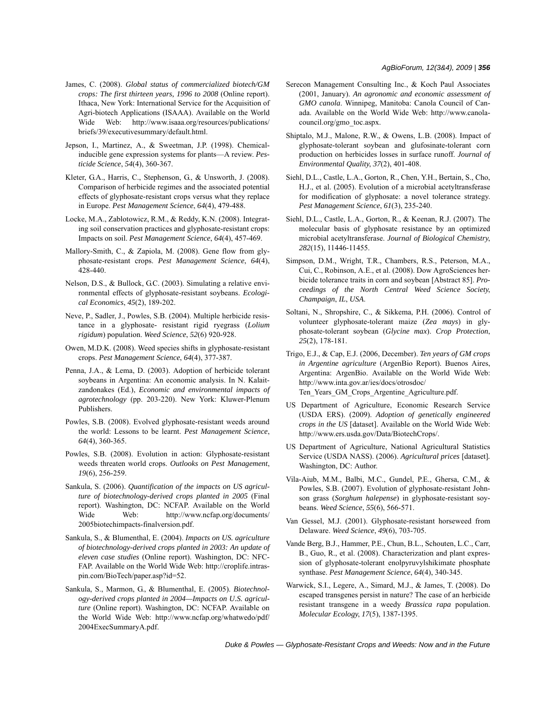- James, C. (2008). *Global status of commercialized biotech/GM crops: The first thirteen years, 1996 to 2008* (Online report). Ithaca, New York: International Service for the Acquisition of Agri-biotech Applications (ISAAA). Available on the World Wide Web: http://www.isaaa.org/resources/publications/ briefs/39/executivesummary/default.html.
- Jepson, I., Martinez, A., & Sweetman, J.P. (1998). Chemicalinducible gene expression systems for plants—A review. *Pesticide Science*, *54*(4), 360-367.
- Kleter, G.A., Harris, C., Stephenson, G., & Unsworth, J. (2008). Comparison of herbicide regimes and the associated potential effects of glyphosate-resistant crops versus what they replace in Europe. *Pest Management Science*, *64*(4), 479-488.
- Locke, M.A., Zablotowicz, R.M., & Reddy, K.N. (2008). Integrating soil conservation practices and glyphosate-resistant crops: Impacts on soil. *Pest Management Science*, *64*(4), 457-469.
- Mallory-Smith, C., & Zapiola, M. (2008). Gene flow from glyphosate-resistant crops. *Pest Management Science*, *64*(4), 428-440.
- Nelson, D.S., & Bullock, G.C. (2003). Simulating a relative environmental effects of glyphosate-resistant soybeans. *Ecological Economics*, *45*(2), 189-202.
- Neve, P., Sadler, J., Powles, S.B. (2004). Multiple herbicide resistance in a glyphosate- resistant rigid ryegrass (*Lolium rigidum*) population. *Weed Science*, *52*(6) 920-928.
- Owen, M.D.K. (2008). Weed species shifts in glyphosate-resistant crops. *Pest Management Science*, *64*(4), 377-387.
- Penna, J.A., & Lema, D. (2003). Adoption of herbicide tolerant soybeans in Argentina: An economic analysis. In N. Kalaitzandonakes (Ed.), *Economic and environmental impacts of agrotechnology* (pp. 203-220). New York: Kluwer-Plenum Publishers.
- Powles, S.B. (2008). Evolved glyphosate-resistant weeds around the world: Lessons to be learnt. *Pest Management Science*, *64*(4), 360-365.
- Powles, S.B. (2008). Evolution in action: Glyphosate-resistant weeds threaten world crops. *Outlooks on Pest Management*, *19*(6), 256-259.
- Sankula, S. (2006). *Quantification of the impacts on US agriculture of biotechnology-derived crops planted in 2005* (Final report). Washington, DC: NCFAP. Available on the World Wide Web: http://www.ncfap.org/documents/ 2005biotechimpacts-finalversion.pdf.
- Sankula, S., & Blumenthal, E. (2004). *Impacts on US. agriculture of biotechnology-derived crops planted in 2003: An update of eleven case studies* (Online report). Washington, DC: NFC-FAP. Available on the World Wide Web: http://croplife.intraspin.com/BioTech/paper.asp?id=52.
- Sankula, S., Marmon, G., & Blumenthal, E. (2005). *Biotechnology-derived crops planted in 2004—Impacts on U.S. agriculture* (Online report). Washington, DC: NCFAP. Available on the World Wide Web: http://www.ncfap.org/whatwedo/pdf/ 2004ExecSummaryA.pdf.
- Serecon Management Consulting Inc., & Koch Paul Associates (2001, January). *An agronomic and economic assessment of GMO canola*. Winnipeg, Manitoba: Canola Council of Canada. Available on the World Wide Web: http://www.canolacouncil.org/gmo\_toc.aspx.
- Shiptalo, M.J., Malone, R.W., & Owens, L.B. (2008). Impact of glyphosate-tolerant soybean and glufosinate-tolerant corn production on herbicides losses in surface runoff. *Journal of Environmental Quality*, *37*(2), 401-408.
- Siehl, D.L., Castle, L.A., Gorton, R., Chen, Y.H., Bertain, S., Cho, H.J., et al. (2005). Evolution of a microbial acetyltransferase for modification of glyphosate: a novel tolerance strategy. *Pest Management Science*, *61*(3), 235-240.
- Siehl, D.L., Castle, L.A., Gorton, R., & Keenan, R.J. (2007). The molecular basis of glyphosate resistance by an optimized microbial acetyltransferase. *Journal of Biological Chemistry*, *282*(15), 11446-11455.
- Simpson, D.M., Wright, T.R., Chambers, R.S., Peterson, M.A., Cui, C., Robinson, A.E., et al. (2008). Dow AgroSciences herbicide tolerance traits in corn and soybean [Abstract 85]. *Proceedings of the North Central Weed Science Society*, *Champaign*, *IL*, *USA*.
- Soltani, N., Shropshire, C., & Sikkema, P.H. (2006). Control of volunteer glyphosate-tolerant maize (*Zea mays*) in glyphosate-tolerant soybean (*Glycine max*). *Crop Protection*, *25*(2), 178-181.
- Trigo, E.J., & Cap, E.J. (2006, December). *Ten years of GM crops in Argentine agriculture* (ArgenBio Report). Buenos Aires, Argentina: ArgenBio. Available on the World Wide Web: http://www.inta.gov.ar/ies/docs/otrosdoc/ Ten\_Years\_GM\_Crops\_Argentine\_Agriculture.pdf.
- US Department of Agriculture, Economic Research Service (USDA ERS). (2009). *Adoption of genetically engineered crops in the US* [dataset]. Available on the World Wide Web: http://www.ers.usda.gov/Data/BiotechCrops/.
- US Department of Agriculture, National Agricultural Statistics Service (USDA NASS). (2006). *Agricultural prices* [dataset]*.* Washington, DC: Author.
- Vila-Aiub, M.M., Balbi, M.C., Gundel, P.E., Ghersa, C.M., & Powles, S.B. (2007). Evolution of glyphosate-resistant Johnson grass (*Sorghum halepense*) in glyphosate-resistant soybeans. *Weed Science*, *55*(6), 566-571.
- Van Gessel, M.J. (2001). Glyphosate-resistant horseweed from Delaware. *Weed Science*, *49*(6), 703-705.
- Vande Berg, B.J., Hammer, P.E., Chun, B.L., Schouten, L.C., Carr, B., Guo, R., et al. (2008). Characterization and plant expression of glyphosate-tolerant enolpyruvylshikimate phosphate synthase. *Pest Management Science*, *64*(4), 340-345.
- Warwick, S.I., Legere, A., Simard, M.J., & James, T. (2008). Do escaped transgenes persist in nature? The case of an herbicide resistant transgene in a weedy *Brassica rapa* population. *Molecular Ecology*, *17*(5), 1387-1395.